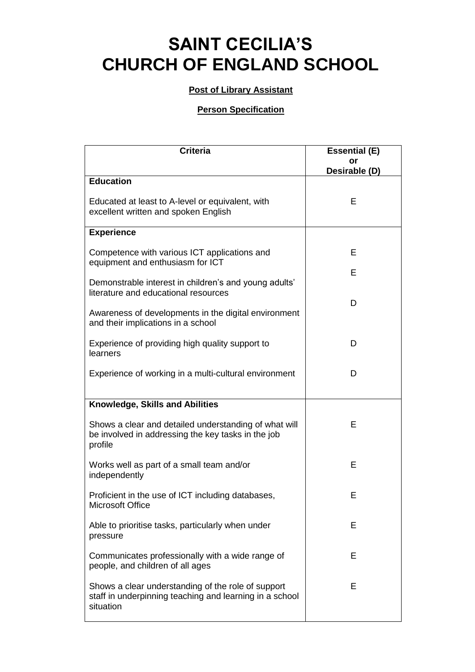## **SAINT CECILIA'S CHURCH OF ENGLAND SCHOOL**

## **Post of Library Assistant**

## **Person Specification**

| <b>Criteria</b>                                                                                                            | <b>Essential (E)</b> |
|----------------------------------------------------------------------------------------------------------------------------|----------------------|
|                                                                                                                            | or<br>Desirable (D)  |
| <b>Education</b>                                                                                                           |                      |
| Educated at least to A-level or equivalent, with<br>excellent written and spoken English                                   | Е                    |
| <b>Experience</b>                                                                                                          |                      |
| Competence with various ICT applications and<br>equipment and enthusiasm for ICT                                           | E                    |
| Demonstrable interest in children's and young adults'<br>literature and educational resources                              | E                    |
| Awareness of developments in the digital environment<br>and their implications in a school                                 | D                    |
| Experience of providing high quality support to<br>learners                                                                | D                    |
| Experience of working in a multi-cultural environment                                                                      | D                    |
| Knowledge, Skills and Abilities                                                                                            |                      |
| Shows a clear and detailed understanding of what will<br>be involved in addressing the key tasks in the job<br>profile     | Е                    |
| Works well as part of a small team and/or<br>independently                                                                 | E                    |
| Proficient in the use of ICT including databases,<br>Microsoft Office                                                      | E                    |
| Able to prioritise tasks, particularly when under<br>pressure                                                              | E                    |
| Communicates professionally with a wide range of<br>people, and children of all ages                                       | Е                    |
| Shows a clear understanding of the role of support<br>staff in underpinning teaching and learning in a school<br>situation | Е                    |